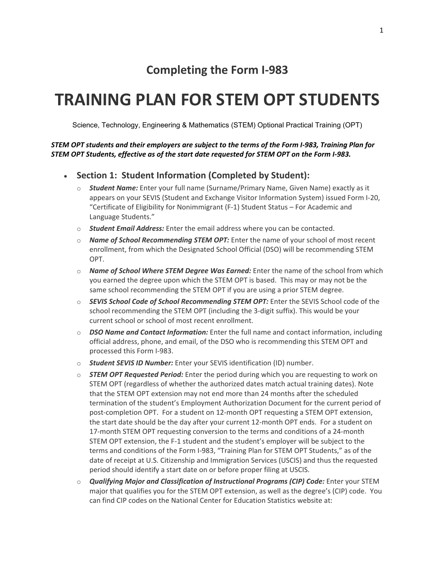# **Completing the Form I‐983**

# **TRAINING PLAN FOR STEM OPT STUDENTS**

Science, Technology, Engineering & Mathematics (STEM) Optional Practical Training (OPT)

#### STEM OPT students and their employers are subject to the terms of the Form I-983, Training Plan for *STEM OPT Students, effective as of the start date requested for STEM OPT on the Form I‐983.*

- **Section 1: Student Information (Completed by Student):**
	- o *Student Name:* Enter your full name (Surname/Primary Name, Given Name) exactly as it appears on your SEVIS (Student and Exchange Visitor Information System) issued Form I‐20, "Certificate of Eligibility for Nonimmigrant (F‐1) Student Status – For Academic and Language Students."
	- o *Student Email Address:* Enter the email address where you can be contacted.
	- o *Name of School Recommending STEM OPT:* Enter the name of your school of most recent enrollment, from which the Designated School Official (DSO) will be recommending STEM OPT.
	- o *Name of School Where STEM Degree Was Earned:* Enter the name of the school from which you earned the degree upon which the STEM OPT is based. This may or may not be the same school recommending the STEM OPT if you are using a prior STEM degree.
	- o *SEVIS School Code of School Recommending STEM OPT:* Enter the SEVIS School code of the school recommending the STEM OPT (including the 3‐digit suffix). This would be your current school or school of most recent enrollment.
	- o *DSO Name and Contact Information:* Enter the full name and contact information, including official address, phone, and email, of the DSO who is recommending this STEM OPT and processed this Form I‐983.
	- o *Student SEVIS ID Number:* Enter your SEVIS identification (ID) number.
	- o *STEM OPT Requested Period:* Enter the period during which you are requesting to work on STEM OPT (regardless of whether the authorized dates match actual training dates). Note that the STEM OPT extension may not end more than 24 months after the scheduled termination of the student's Employment Authorization Document for the current period of post-completion OPT. For a student on 12-month OPT requesting a STEM OPT extension, the start date should be the day after your current 12‐month OPT ends. For a student on 17‐month STEM OPT requesting conversion to the terms and conditions of a 24‐month STEM OPT extension, the F‐1 student and the student's employer will be subject to the terms and conditions of the Form I‐983, "Training Plan for STEM OPT Students," as of the date of receipt at U.S. Citizenship and Immigration Services (USCIS) and thus the requested period should identify a start date on or before proper filing at USCIS.
	- o *Qualifying Major and Classification of Instructional Programs (CIP) Code:* Enter your STEM major that qualifies you for the STEM OPT extension, as well as the degree's (CIP) code. You can find CIP codes on the National Center for Education Statistics website at: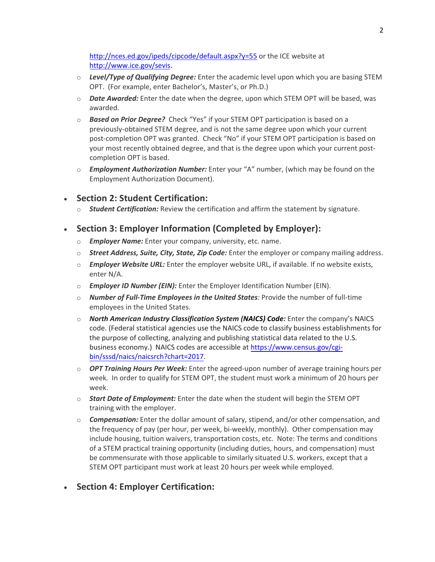<http://nces.ed.gov/ipeds/cipcode/default.aspx?y=55> or the ICE website at [http://www.ice.gov/sevis.](http://www.ice.gov/sevis)

- o *Level/Type of Qualifying Degree:* Enter the academic level upon which you are basing STEM OPT. (For example, enter Bachelor's, Master's, or Ph.D.)
- o *Date Awarded:* Enter the date when the degree, upon which STEM OPT will be based, was awarded.
- o *Based on Prior Degree?* Check "Yes" if your STEM OPT participation is based on a previously‐obtained STEM degree, and is not the same degree upon which your current post-completion OPT was granted. Check "No" if your STEM OPT participation is based on your most recently obtained degree, and that is the degree upon which your current postcompletion OPT is based.
- o *Employment Authorization Number:* Enter your "A" number, (which may be found on the Employment Authorization Document).

#### • **Section 2: Student Certification:**

o *Student Certification:* Review the certification and affirm the statement by signature.

### • **Section 3: Employer Information (Completed by Employer):**

- o *Employer Name:* Enter your company, university, etc. name.
- o *Street Address, Suite, City, State, Zip Code:* Enter the employer or company mailing address.
- o *Employer Website URL:* Enter the employer website URL, if available. If no website exists, enter N/A.
- o *Employer ID Number (EIN):* Enter the Employer Identification Number (EIN).
- o *Number of Full‐Time Employees in the United States:* Provide the number of full‐time employees in the United States.
- o *North American Industry Classification System (NAICS) Code:* Enter the company's NAICS code. (Federal statistical agencies use the NAICS code to classify business establishments for the purpose of collecting, analyzing and publishing statistical data related to the U.S. business economy.) NAICS codes are accessible at https://www.census.gov/cgi[bin/sssd/naics/naicsrch?chart=201](https://www.census.gov/cgi-bin/sssd/naics/naicsrch?chart=2017)7.
- o *OPT Training Hours Per Week:* Enter the agreed‐upon number of average training hours per week*.* In order to qualify for STEM OPT, the student must work a minimum of 20 hours per week.
- o *Start Date of Employment:* Enter the date when the student will begin the STEM OPT training with the employer.
- o *Compensation:* Enter the dollar amount of salary, stipend, and/or other compensation, and the frequency of pay (per hour, per week, bi-weekly, monthly). Other compensation may include housing, tuition waivers, transportation costs, etc. Note: The terms and conditions of a STEM practical training opportunity (including duties, hours, and compensation) must be commensurate with those applicable to similarly situated U.S. workers, except that a STEM OPT participant must work at least 20 hours per week while employed.

### • **Section 4: Employer Certification:**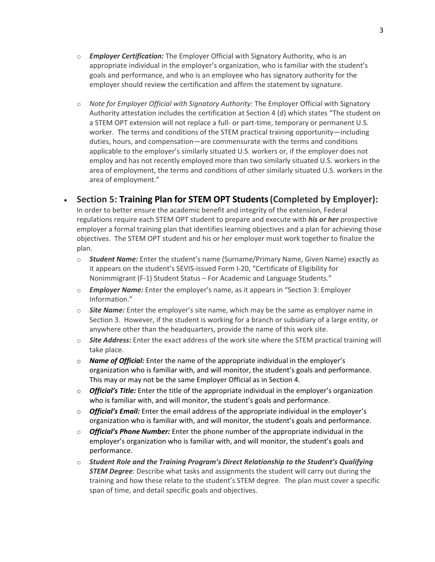- o *Employer Certification:* The Employer Official with Signatory Authority, who is an appropriate individual in the employer's organization, who is familiar with the student's goals and performance, and who is an employee who has signatory authority for the employer should review the certification and affirm the statement by signature.
- o *Note for Employer Official with Signatory Authority:* The Employer Official with Signatory Authority attestation includes the certification at Section 4 (d) which states "The student on a STEM OPT extension will not replace a full‐ or part‐time, temporary or permanent U.S. worker. The terms and conditions of the STEM practical training opportunity—including duties, hours, and compensation—are commensurate with the terms and conditions applicable to the employer's similarly situated U.S. workers or, if the employer does not employ and has not recently employed more than two similarly situated U.S. workers in the area of employment, the terms and conditions of other similarly situated U.S. workers in the area of employment."

### **Section 5: Training Plan for STEM OPT Students(Completed by Employer):**

In order to better ensure the academic benefit and integrity of the extension, Federal regulations require each STEM OPT student to prepare and execute with *his or her* prospective employer a formal training plan that identifies learning objectives and a plan for achieving those objectives. The STEM OPT student and his or her employer must work together to finalize the plan.

- o *Student Name:* Enter the student's name (Surname/Primary Name, Given Name) exactly as it appears on the student's SEVIS‐issued Form I‐20, "Certificate of Eligibility for Nonimmigrant (F‐1) Student Status – For Academic and Language Students."
- o *Employer Name:* Enter the employer's name, as it appears in "Section 3: Employer Information."
- o *Site Name:* Enter the employer's site name, which may be the same as employer name in Section 3. However, if the student is working for a branch or subsidiary of a large entity, or anywhere other than the headquarters, provide the name of this work site.
- o *Site Address:* Enter the exact address of the work site where the STEM practical training will take place.
- o *Name of Official:* Enter the name of the appropriate individual in the employer's organization who is familiar with, and will monitor, the student's goals and performance. This may or may not be the same Employer Official as in Section 4.
- o *Official's Title:* Enter the title of the appropriate individual in the employer's organization who is familiar with, and will monitor, the student's goals and performance.
- o *Official's Email:* Enter the email address of the appropriate individual in the employer's organization who is familiar with, and will monitor, the student's goals and performance.
- o *Official's Phone Number:* Enter the phone number of the appropriate individual in the employer's organization who is familiar with, and will monitor, the student's goals and performance.
- o *Student Role and the Training Program's Direct Relationship to the Student's Qualifying STEM Degree:* Describe what tasks and assignments the student will carry out during the training and how these relate to the student's STEM degree. The plan must cover a specific span of time, and detail specific goals and objectives.